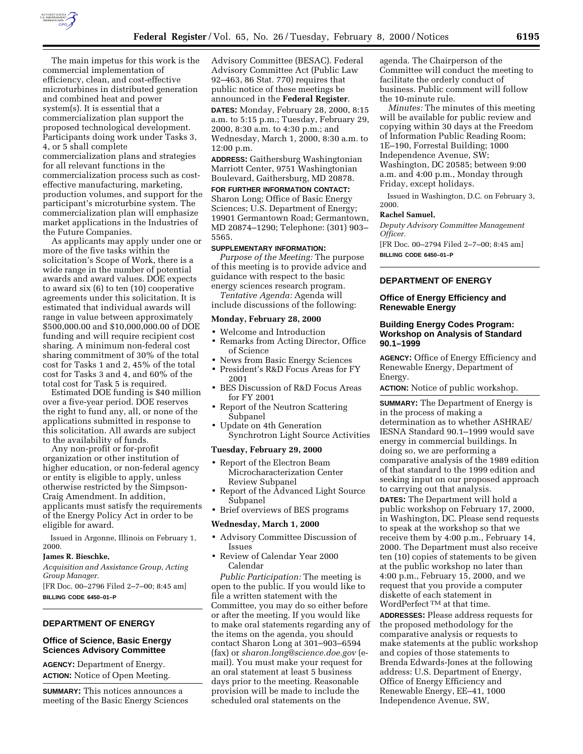

The main impetus for this work is the commercial implementation of efficiency, clean, and cost-effective microturbines in distributed generation and combined heat and power system(s). It is essential that a commercialization plan support the proposed technological development. Participants doing work under Tasks 3, 4, or 5 shall complete commercialization plans and strategies for all relevant functions in the commercialization process such as costeffective manufacturing, marketing, production volumes, and support for the participant's microturbine system. The commercialization plan will emphasize market applications in the Industries of the Future Companies.

As applicants may apply under one or more of the five tasks within the solicitation's Scope of Work, there is a wide range in the number of potential awards and award values. DOE expects to award six (6) to ten (10) cooperative agreements under this solicitation. It is estimated that individual awards will range in value between approximately \$500,000.00 and \$10,000,000.00 of DOE funding and will require recipient cost sharing. A minimum non-federal cost sharing commitment of 30% of the total cost for Tasks 1 and 2, 45% of the total cost for Tasks 3 and 4, and 60% of the total cost for Task 5 is required.

Estimated DOE funding is \$40 million over a five-year period. DOE reserves the right to fund any, all, or none of the applications submitted in response to this solicitation. All awards are subject to the availability of funds.

Any non-profit or for-profit organization or other institution of higher education, or non-federal agency or entity is eligible to apply, unless otherwise restricted by the Simpson-Craig Amendment. In addition, applicants must satisfy the requirements of the Energy Policy Act in order to be eligible for award.

Issued in Argonne, Illinois on February 1, 2000.

#### **James R. Bieschke,**

*Acquisition and Assistance Group, Acting Group Manager.*

[FR Doc. 00–2796 Filed 2–7–00; 8:45 am] **BILLING CODE 6450–01–P**

# **DEPARTMENT OF ENERGY**

## **Office of Science, Basic Energy Sciences Advisory Committee**

**AGENCY:** Department of Energy. **ACTION:** Notice of Open Meeting.

**SUMMARY:** This notices announces a meeting of the Basic Energy Sciences

Advisory Committee (BESAC). Federal Advisory Committee Act (Public Law 92–463, 86 Stat. 770) requires that public notice of these meetings be announced in the **Federal Register**.

**DATES:** Monday, February 28, 2000, 8:15 a.m. to 5:15 p.m.; Tuesday, February 29, 2000, 8:30 a.m. to 4:30 p.m.; and Wednesday, March 1, 2000, 8:30 a.m. to 12:00 p.m.

**ADDRESS:** Gaithersburg Washingtonian Marriott Center, 9751 Washingtonian Boulevard, Gaithersburg, MD 20878. **FOR FURTHER INFORMATION CONTACT:**

Sharon Long; Office of Basic Energy Sciences; U.S. Department of Energy; 19901 Germantown Road; Germantown, MD 20874–1290; Telephone: (301) 903– 5565.

#### **SUPPLEMENTARY INFORMATION:**

*Purpose of the Meeting:* The purpose of this meeting is to provide advice and guidance with respect to the basic energy sciences research program.

*Tentative Agenda:* Agenda will include discussions of the following:

# **Monday, February 28, 2000**

- Welcome and Introduction
- Remarks from Acting Director, Office of Science
- News from Basic Energy Sciences
- President's R&D Focus Areas for FY 2001
- BES Discussion of R&D Focus Areas for FY 2001
- Report of the Neutron Scattering Subpanel
- Update on 4th Generation Synchrotron Light Source Activities

## **Tuesday, February 29, 2000**

- Report of the Electron Beam Microcharacterization Center Review Subpanel
- Report of the Advanced Light Source Subpanel
- Brief overviews of BES programs

#### **Wednesday, March 1, 2000**

- Advisory Committee Discussion of Issues
- Review of Calendar Year 2000 Calendar

*Public Participation:* The meeting is open to the public. If you would like to file a written statement with the Committee, you may do so either before or after the meeting. If you would like to make oral statements regarding any of the items on the agenda, you should contact Sharon Long at 301–903–6594 (fax) or *sharon.long@science.doe.gov* (email). You must make your request for an oral statement at least 5 business days prior to the meeting. Reasonable provision will be made to include the scheduled oral statements on the

agenda. The Chairperson of the Committee will conduct the meeting to facilitate the orderly conduct of business. Public comment will follow the 10-minute rule.

*Minutes:* The minutes of this meeting will be available for public review and copying within 30 days at the Freedom of Information Public Reading Room; 1E–190, Forrestal Building; 1000 Independence Avenue, SW; Washington, DC 20585; between 9:00 a.m. and 4:00 p.m., Monday through Friday, except holidays.

Issued in Washington, D.C. on February 3, 2000.

#### **Rachel Samuel,**

*Deputy Advisory Committee Management Officer.*

[FR Doc. 00–2794 Filed 2–7–00; 8:45 am] **BILLING CODE 6450–01–P**

## **DEPARTMENT OF ENERGY**

## **Office of Energy Efficiency and Renewable Energy**

## **Building Energy Codes Program: Workshop on Analysis of Standard 90.1–1999**

**AGENCY:** Office of Energy Efficiency and Renewable Energy, Department of Energy.

**ACTION:** Notice of public workshop.

**SUMMARY:** The Department of Energy is in the process of making a determination as to whether ASHRAE/ IESNA Standard 90.1–1999 would save energy in commercial buildings. In doing so, we are performing a comparative analysis of the 1989 edition of that standard to the 1999 edition and seeking input on our proposed approach to carrying out that analysis.

**DATES:** The Department will hold a public workshop on February 17, 2000, in Washington, DC. Please send requests to speak at the workshop so that we receive them by 4:00 p.m., February 14, 2000. The Department must also receive ten (10) copies of statements to be given at the public workshop no later than 4:00 p.m., February 15, 2000, and we request that you provide a computer diskette of each statement in WordPerfect TM at that time.

**ADDRESSES:** Please address requests for the proposed methodology for the comparative analysis or requests to make statements at the public workshop and copies of those statements to Brenda Edwards-Jones at the following address: U.S. Department of Energy, Office of Energy Efficiency and Renewable Energy, EE–41, 1000 Independence Avenue, SW,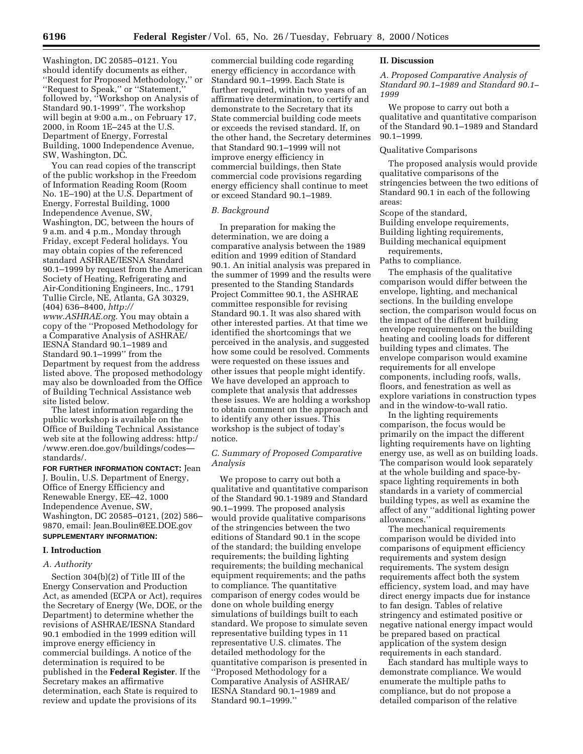Washington, DC 20585–0121. You should identify documents as either, ''Request for Proposed Methodology,'' or ''Request to Speak,'' or ''Statement,'' followed by, ''Workshop on Analysis of Standard 90.1-1999''. The workshop will begin at 9:00 a.m., on February 17, 2000, in Room 1E–245 at the U.S. Department of Energy, Forrestal Building, 1000 Independence Avenue, SW, Washington, DC.

You can read copies of the transcript of the public workshop in the Freedom of Information Reading Room (Room No. 1E–190) at the U.S. Department of Energy, Forrestal Building, 1000 Independence Avenue, SW, Washington, DC, between the hours of 9 a.m. and 4 p.m., Monday through Friday, except Federal holidays. You may obtain copies of the referenced standard ASHRAE/IESNA Standard 90.1–1999 by request from the American Society of Heating, Refrigerating and Air-Conditioning Engineers, Inc., 1791 Tullie Circle, NE, Atlanta, GA 30329, (404) 636–8400, *http://*

*www.ASHRAE.org.* You may obtain a copy of the ''Proposed Methodology for a Comparative Analysis of ASHRAE/ IESNA Standard 90.1–1989 and Standard 90.1–1999'' from the Department by request from the address listed above. The proposed methodology may also be downloaded from the Office of Building Technical Assistance web site listed below.

The latest information regarding the public workshop is available on the Office of Building Technical Assistance web site at the following address: http:/ /www.eren.doe.gov/buildings/codes standards/.

**FOR FURTHER INFORMATION CONTACT:** Jean J. Boulin, U.S. Department of Energy, Office of Energy Efficiency and Renewable Energy, EE–42, 1000

Independence Avenue, SW, Washington, DC 20585–0121, (202) 586– 9870, email: Jean.Boulin@EE.DOE.gov **SUPPLEMENTARY INFORMATION:**

## **I. Introduction**

## *A. Authority*

Section 304(b)(2) of Title III of the Energy Conservation and Production Act, as amended (ECPA or Act), requires the Secretary of Energy (We, DOE, or the Department) to determine whether the revisions of ASHRAE/IESNA Standard 90.1 embodied in the 1999 edition will improve energy efficiency in commercial buildings. A notice of the determination is required to be published in the **Federal Register**. If the Secretary makes an affirmative determination, each State is required to review and update the provisions of its

commercial building code regarding energy efficiency in accordance with Standard 90.1–1999. Each State is further required, within two years of an affirmative determination, to certify and demonstrate to the Secretary that its State commercial building code meets or exceeds the revised standard. If, on the other hand, the Secretary determines that Standard 90.1–1999 will not improve energy efficiency in commercial buildings, then State commercial code provisions regarding energy efficiency shall continue to meet or exceed Standard 90.1–1989.

## *B. Background*

In preparation for making the determination, we are doing a comparative analysis between the 1989 edition and 1999 edition of Standard 90.1. An initial analysis was prepared in the summer of 1999 and the results were presented to the Standing Standards Project Committee 90.1, the ASHRAE committee responsible for revising Standard 90.1. It was also shared with other interested parties. At that time we identified the shortcomings that we perceived in the analysis, and suggested how some could be resolved. Comments were requested on these issues and other issues that people might identify. We have developed an approach to complete that analysis that addresses these issues. We are holding a workshop to obtain comment on the approach and to identify any other issues. This workshop is the subject of today's notice.

# *C. Summary of Proposed Comparative Analysis*

We propose to carry out both a qualitative and quantitative comparison of the Standard 90.1-1989 and Standard 90.1–1999. The proposed analysis would provide qualitative comparisons of the stringencies between the two editions of Standard 90.1 in the scope of the standard; the building envelope requirements; the building lighting requirements; the building mechanical equipment requirements; and the paths to compliance. The quantitative comparison of energy codes would be done on whole building energy simulations of buildings built to each standard. We propose to simulate seven representative building types in 11 representative U.S. climates. The detailed methodology for the quantitative comparison is presented in ''Proposed Methodology for a Comparative Analysis of ASHRAE/ IESNA Standard 90.1–1989 and Standard 90.1–1999.''

## **II. Discussion**

*A. Proposed Comparative Analysis of Standard 90.1–1989 and Standard 90.1– 1999*

We propose to carry out both a qualitative and quantitative comparison of the Standard 90.1–1989 and Standard 90.1–1999.

## Qualitative Comparisons

The proposed analysis would provide qualitative comparisons of the stringencies between the two editions of Standard 90.1 in each of the following areas:

# Scope of the standard,

Building envelope requirements, Building lighting requirements, Building mechanical equipment

requirements, Paths to compliance.

The emphasis of the qualitative comparison would differ between the envelope, lighting, and mechanical sections. In the building envelope section, the comparison would focus on the impact of the different building envelope requirements on the building heating and cooling loads for different building types and climates. The envelope comparison would examine requirements for all envelope components, including roofs, walls, floors, and fenestration as well as explore variations in construction types and in the window-to-wall ratio.

In the lighting requirements comparison, the focus would be primarily on the impact the different lighting requirements have on lighting energy use, as well as on building loads. The comparison would look separately at the whole building and space-byspace lighting requirements in both standards in a variety of commercial building types, as well as examine the affect of any ''additional lighting power allowances.''

The mechanical requirements comparison would be divided into comparisons of equipment efficiency requirements and system design requirements. The system design requirements affect both the system efficiency, system load, and may have direct energy impacts due for instance to fan design. Tables of relative stringency and estimated positive or negative national energy impact would be prepared based on practical application of the system design requirements in each standard.

Each standard has multiple ways to demonstrate compliance. We would enumerate the multiple paths to compliance, but do not propose a detailed comparison of the relative